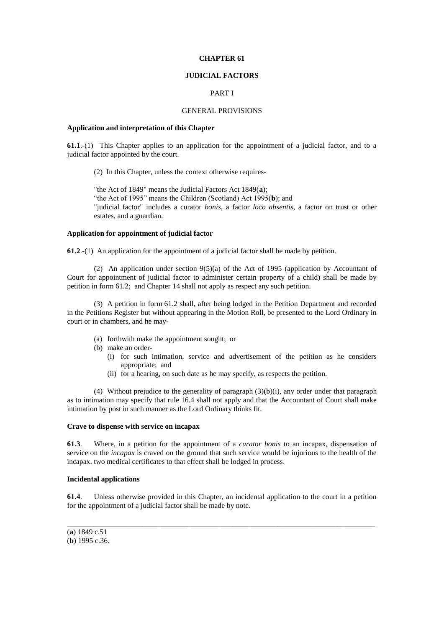### **CHAPTER 61**

## **JUDICIAL FACTORS**

# PART I

## GENERAL PROVISIONS

## **Application and interpretation of this Chapter**

**61.1**.-(1) This Chapter applies to an application for the appointment of a judicial factor, and to a judicial factor appointed by the court.

(2) In this Chapter, unless the context otherwise requires-

"the Act of 1849" means the Judicial Factors Act 1849(**a**); "the Act of 1995" means the Children (Scotland) Act 1995(**b**); and "judicial factor" includes a curator *bonis*, a factor *loco absentis*, a factor on trust or other estates, and a guardian.

# **Application for appointment of judicial factor**

**61.2**.-(1) An application for the appointment of a judicial factor shall be made by petition.

(2) An application under section 9(5)(a) of the Act of 1995 (application by Accountant of Court for appointment of judicial factor to administer certain property of a child) shall be made by petition in form 61.2; and Chapter 14 shall not apply as respect any such petition.

(3) A petition in form 61.2 shall, after being lodged in the Petition Department and recorded in the Petitions Register but without appearing in the Motion Roll, be presented to the Lord Ordinary in court or in chambers, and he may-

- (a) forthwith make the appointment sought; or
- (b) make an order-
	- (i) for such intimation, service and advertisement of the petition as he considers appropriate; and
	- (ii) for a hearing, on such date as he may specify, as respects the petition.

(4) Without prejudice to the generality of paragraph  $(3)(b)(i)$ , any order under that paragraph as to intimation may specify that rule 16.4 shall not apply and that the Accountant of Court shall make intimation by post in such manner as the Lord Ordinary thinks fit.

#### **Crave to dispense with service on incapax**

**61.3**. Where, in a petition for the appointment of a *curator bonis* to an incapax, dispensation of service on the *incapax* is craved on the ground that such service would be injurious to the health of the incapax, two medical certificates to that effect shall be lodged in process.

#### **Incidental applications**

**61.4**. Unless otherwise provided in this Chapter, an incidental application to the court in a petition for the appointment of a judicial factor shall be made by note.

\_\_\_\_\_\_\_\_\_\_\_\_\_\_\_\_\_\_\_\_\_\_\_\_\_\_\_\_\_\_\_\_\_\_\_\_\_\_\_\_\_\_\_\_\_\_\_\_\_\_\_\_\_\_\_\_\_\_\_\_\_\_\_\_\_\_\_\_\_\_\_\_\_\_\_\_\_\_\_\_\_\_

<sup>(</sup>**a**) 1849 c.51 (**b**) 1995 c.36.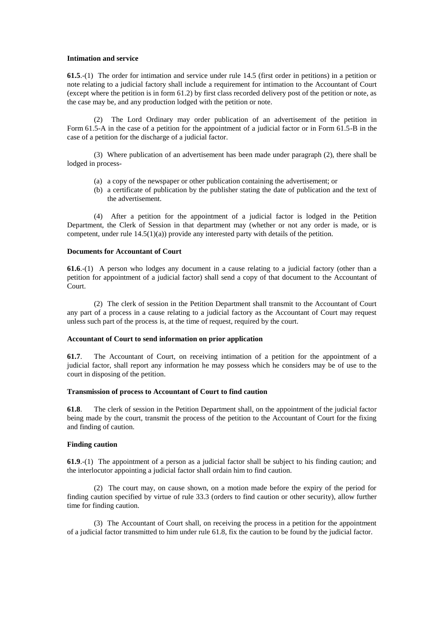### **Intimation and service**

**61.5**.-(1) The order for intimation and service under rule 14.5 (first order in petitions) in a petition or note relating to a judicial factory shall include a requirement for intimation to the Accountant of Court (except where the petition is in form 61.2) by first class recorded delivery post of the petition or note, as the case may be, and any production lodged with the petition or note.

(2) The Lord Ordinary may order publication of an advertisement of the petition in Form 61.5-A in the case of a petition for the appointment of a judicial factor or in Form 61.5-B in the case of a petition for the discharge of a judicial factor.

(3) Where publication of an advertisement has been made under paragraph (2), there shall be lodged in process-

- (a) a copy of the newspaper or other publication containing the advertisement; or
- (b) a certificate of publication by the publisher stating the date of publication and the text of the advertisement.

(4) After a petition for the appointment of a judicial factor is lodged in the Petition Department, the Clerk of Session in that department may (whether or not any order is made, or is competent, under rule  $14.5(1)(a)$ ) provide any interested party with details of the petition.

## **Documents for Accountant of Court**

**61.6**.-(1) A person who lodges any document in a cause relating to a judicial factory (other than a petition for appointment of a judicial factor) shall send a copy of that document to the Accountant of Court.

(2) The clerk of session in the Petition Department shall transmit to the Accountant of Court any part of a process in a cause relating to a judicial factory as the Accountant of Court may request unless such part of the process is, at the time of request, required by the court.

## **Accountant of Court to send information on prior application**

**61.7**. The Accountant of Court, on receiving intimation of a petition for the appointment of a judicial factor, shall report any information he may possess which he considers may be of use to the court in disposing of the petition.

### **Transmission of process to Accountant of Court to find caution**

**61.8**. The clerk of session in the Petition Department shall, on the appointment of the judicial factor being made by the court, transmit the process of the petition to the Accountant of Court for the fixing and finding of caution.

# **Finding caution**

**61.9**.-(1) The appointment of a person as a judicial factor shall be subject to his finding caution; and the interlocutor appointing a judicial factor shall ordain him to find caution.

(2) The court may, on cause shown, on a motion made before the expiry of the period for finding caution specified by virtue of rule 33.3 (orders to find caution or other security), allow further time for finding caution.

(3) The Accountant of Court shall, on receiving the process in a petition for the appointment of a judicial factor transmitted to him under rule 61.8, fix the caution to be found by the judicial factor.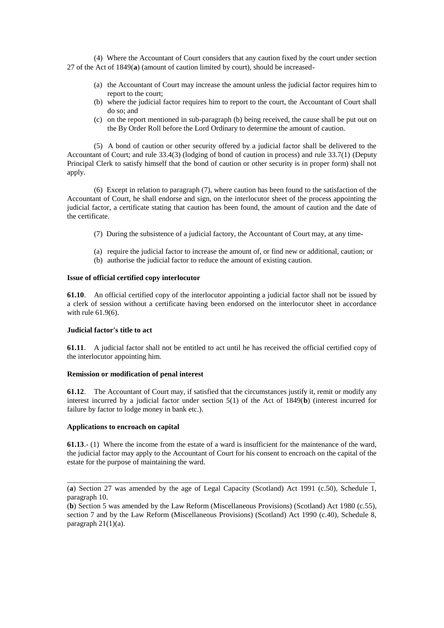(4) Where the Accountant of Court considers that any caution fixed by the court under section 27 of the Act of 1849(**a**) (amount of caution limited by court), should be increased-

- (a) the Accountant of Court may increase the amount unless the judicial factor requires him to report to the court;
- (b) where the judicial factor requires him to report to the court, the Accountant of Court shall do so; and
- (c) on the report mentioned in sub-paragraph (b) being received, the cause shall be put out on the By Order Roll before the Lord Ordinary to determine the amount of caution.

(5) A bond of caution or other security offered by a judicial factor shall be delivered to the Accountant of Court; and rule 33.4(3) (lodging of bond of caution in process) and rule 33.7(1) (Deputy Principal Clerk to satisfy himself that the bond of caution or other security is in proper form) shall not apply.

(6) Except in relation to paragraph (7), where caution has been found to the satisfaction of the Accountant of Court, he shall endorse and sign, on the interlocutor sheet of the process appointing the judicial factor, a certificate stating that caution has been found, the amount of caution and the date of the certificate.

- (7) During the subsistence of a judicial factory, the Accountant of Court may, at any time-
- (a) require the judicial factor to increase the amount of, or find new or additional, caution; or
- (b) authorise the judicial factor to reduce the amount of existing caution.

## **Issue of official certified copy interlocutor**

**61.10**. An official certified copy of the interlocutor appointing a judicial factor shall not be issued by a clerk of session without a certificate having been endorsed on the interlocutor sheet in accordance with rule 61.9(6).

## **Judicial factor's title to act**

**61.11**. A judicial factor shall not be entitled to act until he has received the official certified copy of the interlocutor appointing him.

### **Remission or modification of penal interest**

**61.12**. The Accountant of Court may, if satisfied that the circumstances justify it, remit or modify any interest incurred by a judicial factor under section 5(1) of the Act of 1849(**b**) (interest incurred for failure by factor to lodge money in bank etc.).

### **Applications to encroach on capital**

**61.13**.- (1) Where the income from the estate of a ward is insufficient for the maintenance of the ward, the judicial factor may apply to the Accountant of Court for his consent to encroach on the capital of the estate for the purpose of maintaining the ward.

\_\_\_\_\_\_\_\_\_\_\_\_\_\_\_\_\_\_\_\_\_\_\_\_\_\_\_\_\_\_\_\_\_\_\_\_\_\_\_\_\_\_\_\_\_\_\_\_\_\_\_\_\_\_\_\_\_\_\_\_\_\_\_\_\_\_\_\_\_\_\_\_\_\_\_\_\_\_\_\_\_\_ (**a**) Section 27 was amended by the age of Legal Capacity (Scotland) Act 1991 (c.50), Schedule 1, paragraph 10.

<sup>(</sup>**b**) Section 5 was amended by the Law Reform (Miscellaneous Provisions) (Scotland) Act 1980 (c.55), section 7 and by the Law Reform (Miscellaneous Provisions) (Scotland) Act 1990 (c.40), Schedule 8, paragraph  $21(1)(a)$ .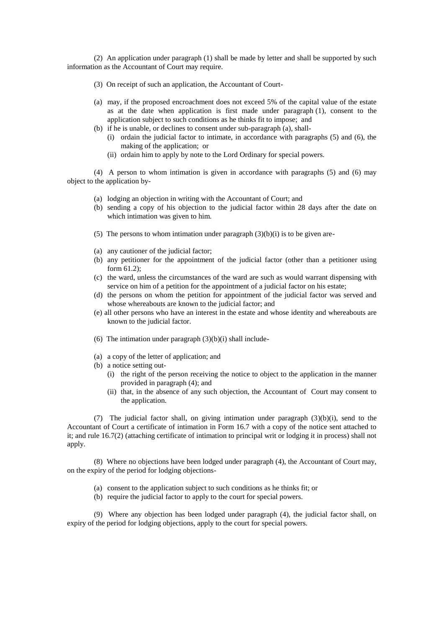(2) An application under paragraph (1) shall be made by letter and shall be supported by such information as the Accountant of Court may require.

- (3) On receipt of such an application, the Accountant of Court-
- (a) may, if the proposed encroachment does not exceed 5% of the capital value of the estate as at the date when application is first made under paragraph (1), consent to the application subject to such conditions as he thinks fit to impose; and
- (b) if he is unable, or declines to consent under sub-paragraph (a), shall-
	- (i) ordain the judicial factor to intimate, in accordance with paragraphs (5) and (6), the making of the application; or
	- (ii) ordain him to apply by note to the Lord Ordinary for special powers.

(4) A person to whom intimation is given in accordance with paragraphs (5) and (6) may object to the application by-

- (a) lodging an objection in writing with the Accountant of Court; and
- (b) sending a copy of his objection to the judicial factor within 28 days after the date on which intimation was given to him.
- (5) The persons to whom intimation under paragraph  $(3)(b)(i)$  is to be given are-
- (a) any cautioner of the judicial factor;
- (b) any petitioner for the appointment of the judicial factor (other than a petitioner using form 61.2);
- (c) the ward, unless the circumstances of the ward are such as would warrant dispensing with service on him of a petition for the appointment of a judicial factor on his estate;
- (d) the persons on whom the petition for appointment of the judicial factor was served and whose whereabouts are known to the judicial factor; and
- (e) all other persons who have an interest in the estate and whose identity and whereabouts are known to the judicial factor.
- (6) The intimation under paragraph  $(3)(b)(i)$  shall include-
- (a) a copy of the letter of application; and
- (b) a notice setting out-
	- (i) the right of the person receiving the notice to object to the application in the manner provided in paragraph (4); and
	- (ii) that, in the absence of any such objection, the Accountant of Court may consent to the application.

(7) The judicial factor shall, on giving intimation under paragraph (3)(b)(i), send to the Accountant of Court a certificate of intimation in Form 16.7 with a copy of the notice sent attached to it; and rule 16.7(2) (attaching certificate of intimation to principal writ or lodging it in process) shall not apply.

(8) Where no objections have been lodged under paragraph (4), the Accountant of Court may, on the expiry of the period for lodging objections-

- (a) consent to the application subject to such conditions as he thinks fit; or
- (b) require the judicial factor to apply to the court for special powers.

(9) Where any objection has been lodged under paragraph (4), the judicial factor shall, on expiry of the period for lodging objections, apply to the court for special powers.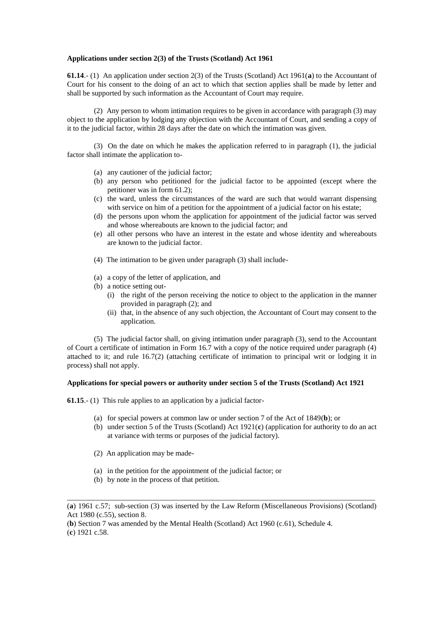### **Applications under section 2(3) of the Trusts (Scotland) Act 1961**

**61.14**.- (1) An application under section 2(3) of the Trusts (Scotland) Act 1961(**a**) to the Accountant of Court for his consent to the doing of an act to which that section applies shall be made by letter and shall be supported by such information as the Accountant of Court may require.

(2) Any person to whom intimation requires to be given in accordance with paragraph (3) may object to the application by lodging any objection with the Accountant of Court, and sending a copy of it to the judicial factor, within 28 days after the date on which the intimation was given.

(3) On the date on which he makes the application referred to in paragraph (1), the judicial factor shall intimate the application to-

- (a) any cautioner of the judicial factor;
- (b) any person who petitioned for the judicial factor to be appointed (except where the petitioner was in form 61.2);
- (c) the ward, unless the circumstances of the ward are such that would warrant dispensing with service on him of a petition for the appointment of a judicial factor on his estate;
- (d) the persons upon whom the application for appointment of the judicial factor was served and whose whereabouts are known to the judicial factor; and
- (e) all other persons who have an interest in the estate and whose identity and whereabouts are known to the judicial factor.
- (4) The intimation to be given under paragraph (3) shall include-
- (a) a copy of the letter of application, and
- (b) a notice setting out-
	- (i) the right of the person receiving the notice to object to the application in the manner provided in paragraph (2); and
	- (ii) that, in the absence of any such objection, the Accountant of Court may consent to the application.

(5) The judicial factor shall, on giving intimation under paragraph (3), send to the Accountant of Court a certificate of intimation in Form 16.7 with a copy of the notice required under paragraph (4) attached to it; and rule 16.7(2) (attaching certificate of intimation to principal writ or lodging it in process) shall not apply.

## **Applications for special powers or authority under section 5 of the Trusts (Scotland) Act 1921**

**61.15**.- (1) This rule applies to an application by a judicial factor-

- (a) for special powers at common law or under section 7 of the Act of 1849(**b**); or
- (b) under section 5 of the Trusts (Scotland) Act 1921(**c**) (application for authority to do an act at variance with terms or purposes of the judicial factory).
- (2) An application may be made-
- (a) in the petition for the appointment of the judicial factor; or
- (b) by note in the process of that petition.

(**b**) Section 7 was amended by the Mental Health (Scotland) Act 1960 (c.61), Schedule 4.

(**c**) 1921 c.58.

\_\_\_\_\_\_\_\_\_\_\_\_\_\_\_\_\_\_\_\_\_\_\_\_\_\_\_\_\_\_\_\_\_\_\_\_\_\_\_\_\_\_\_\_\_\_\_\_\_\_\_\_\_\_\_\_\_\_\_\_\_\_\_\_\_\_\_\_\_\_\_\_\_\_\_\_\_\_\_\_\_\_ (**a**) 1961 c.57; sub-section (3) was inserted by the Law Reform (Miscellaneous Provisions) (Scotland) Act 1980 (c.55), section 8.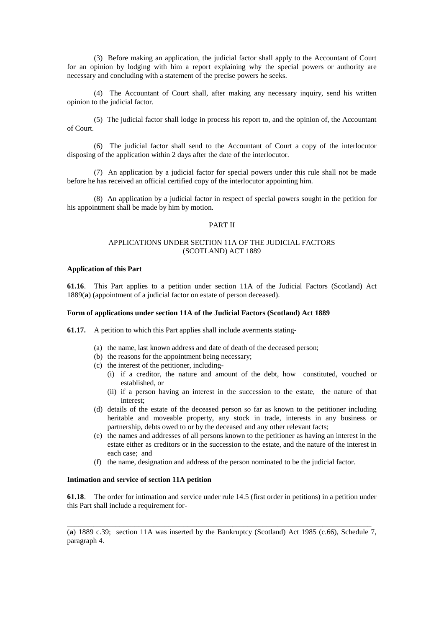(3) Before making an application, the judicial factor shall apply to the Accountant of Court for an opinion by lodging with him a report explaining why the special powers or authority are necessary and concluding with a statement of the precise powers he seeks.

(4) The Accountant of Court shall, after making any necessary inquiry, send his written opinion to the judicial factor.

(5) The judicial factor shall lodge in process his report to, and the opinion of, the Accountant of Court.

(6) The judicial factor shall send to the Accountant of Court a copy of the interlocutor disposing of the application within 2 days after the date of the interlocutor.

(7) An application by a judicial factor for special powers under this rule shall not be made before he has received an official certified copy of the interlocutor appointing him.

(8) An application by a judicial factor in respect of special powers sought in the petition for his appointment shall be made by him by motion.

## PART II

# APPLICATIONS UNDER SECTION 11A OF THE JUDICIAL FACTORS (SCOTLAND) ACT 1889

## **Application of this Part**

**61.16**. This Part applies to a petition under section 11A of the Judicial Factors (Scotland) Act 1889(**a**) (appointment of a judicial factor on estate of person deceased).

#### **Form of applications under section 11A of the Judicial Factors (Scotland) Act 1889**

**61.17.** A petition to which this Part applies shall include averments stating-

- (a) the name, last known address and date of death of the deceased person;
- (b) the reasons for the appointment being necessary;
- (c) the interest of the petitioner, including-
	- (i) if a creditor, the nature and amount of the debt, how constituted, vouched or established, or
	- (ii) if a person having an interest in the succession to the estate, the nature of that interest;
- (d) details of the estate of the deceased person so far as known to the petitioner including heritable and moveable property, any stock in trade, interests in any business or partnership, debts owed to or by the deceased and any other relevant facts;
- (e) the names and addresses of all persons known to the petitioner as having an interest in the estate either as creditors or in the succession to the estate, and the nature of the interest in each case; and
- (f) the name, designation and address of the person nominated to be the judicial factor.

#### **Intimation and service of section 11A petition**

**61.18**. The order for intimation and service under rule 14.5 (first order in petitions) in a petition under this Part shall include a requirement for-

(**a**) 1889 c.39; section 11A was inserted by the Bankruptcy (Scotland) Act 1985 (c.66), Schedule 7, paragraph 4.

\_\_\_\_\_\_\_\_\_\_\_\_\_\_\_\_\_\_\_\_\_\_\_\_\_\_\_\_\_\_\_\_\_\_\_\_\_\_\_\_\_\_\_\_\_\_\_\_\_\_\_\_\_\_\_\_\_\_\_\_\_\_\_\_\_\_\_\_\_\_\_\_\_\_\_\_\_\_\_\_\_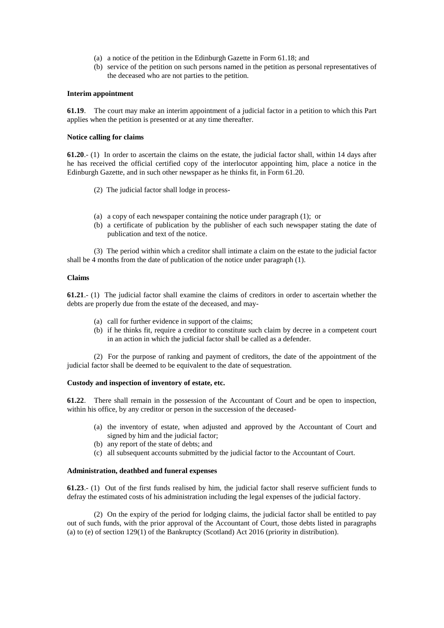- (a) a notice of the petition in the Edinburgh Gazette in Form 61.18; and
- (b) service of the petition on such persons named in the petition as personal representatives of the deceased who are not parties to the petition.

### **Interim appointment**

**61.19**. The court may make an interim appointment of a judicial factor in a petition to which this Part applies when the petition is presented or at any time thereafter.

#### **Notice calling for claims**

**61.20**.- (1) In order to ascertain the claims on the estate, the judicial factor shall, within 14 days after he has received the official certified copy of the interlocutor appointing him, place a notice in the Edinburgh Gazette, and in such other newspaper as he thinks fit, in Form 61.20.

- (2) The judicial factor shall lodge in process-
- (a) a copy of each newspaper containing the notice under paragraph (1); or
- (b) a certificate of publication by the publisher of each such newspaper stating the date of publication and text of the notice.

(3) The period within which a creditor shall intimate a claim on the estate to the judicial factor shall be 4 months from the date of publication of the notice under paragraph (1).

### **Claims**

**61.21**.- (1) The judicial factor shall examine the claims of creditors in order to ascertain whether the debts are properly due from the estate of the deceased, and may-

- (a) call for further evidence in support of the claims;
- (b) if he thinks fit, require a creditor to constitute such claim by decree in a competent court in an action in which the judicial factor shall be called as a defender.

(2) For the purpose of ranking and payment of creditors, the date of the appointment of the judicial factor shall be deemed to be equivalent to the date of sequestration.

### **Custody and inspection of inventory of estate, etc.**

**61.22**. There shall remain in the possession of the Accountant of Court and be open to inspection, within his office, by any creditor or person in the succession of the deceased-

- (a) the inventory of estate, when adjusted and approved by the Accountant of Court and signed by him and the judicial factor;
- (b) any report of the state of debts; and
- (c) all subsequent accounts submitted by the judicial factor to the Accountant of Court.

#### **Administration, deathbed and funeral expenses**

**61.23**.- (1) Out of the first funds realised by him, the judicial factor shall reserve sufficient funds to defray the estimated costs of his administration including the legal expenses of the judicial factory.

(2) On the expiry of the period for lodging claims, the judicial factor shall be entitled to pay out of such funds, with the prior approval of the Accountant of Court, those debts listed in paragraphs (a) to (e) of section 129(1) of the Bankruptcy (Scotland) Act 2016 (priority in distribution).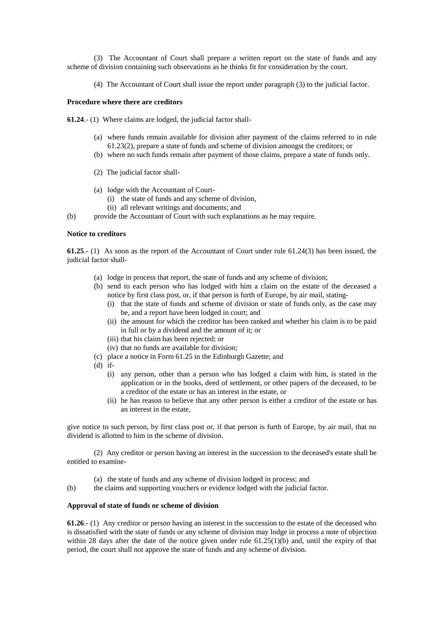(3) The Accountant of Court shall prepare a written report on the state of funds and any scheme of division containing such observations as he thinks fit for consideration by the court.

(4) The Accountant of Court shall issue the report under paragraph (3) to the judicial factor.

# **Procedure where there are creditors**

**61.24**.- (1) Where claims are lodged, the judicial factor shall-

- (a) where funds remain available for division after payment of the claims referred to in rule 61.23(2), prepare a state of funds and scheme of division amongst the creditors; or
- (b) where no such funds remain after payment of those claims, prepare a state of funds only.
- (2) The judicial factor shall-
- (a) lodge with the Accountant of Court-
	- (i) the state of funds and any scheme of division,
	- (ii) all relevant writings and documents; and
- (b) provide the Accountant of Court with such explanations as he may require.

## **Notice to creditors**

**61.25**.- (1) As soon as the report of the Accountant of Court under rule 61.24(3) has been issued, the judicial factor shall-

- (a) lodge in process that report, the state of funds and any scheme of division;
- (b) send to each person who has lodged with him a claim on the estate of the deceased a notice by first class post, or, if that person is furth of Europe, by air mail, stating-
	- (i) that the state of funds and scheme of division or state of funds only, as the case may be, and a report have been lodged in court; and
	- (ii) the amount for which the creditor has been ranked and whether his claim is to be paid in full or by a dividend and the amount of it; or
	- (iii) that his claim has been rejected; or
	- (iv) that no funds are available for division;
- (c) place a notice in Form 61.25 in the Edinburgh Gazette; and
- $(d)$  if-
	- (i) any person, other than a person who has lodged a claim with him, is stated in the application or in the books, deed of settlement, or other papers of the deceased, to be a creditor of the estate or has an interest in the estate, or
	- (ii) he has reason to believe that any other person is either a creditor of the estate or has an interest in the estate,

give notice to such person, by first class post or, if that person is furth of Europe, by air mail, that no dividend is allotted to him in the scheme of division.

(2) Any creditor or person having an interest in the succession to the deceased's estate shall be entitled to examine-

- (a) the state of funds and any scheme of division lodged in process; and
- (b) the claims and supporting vouchers or evidence lodged with the judicial factor.

#### **Approval of state of funds or scheme of division**

**61.26**.- (1) Any creditor or person having an interest in the succession to the estate of the deceased who is dissatisfied with the state of funds or any scheme of division may lodge in process a note of objection within 28 days after the date of the notice given under rule 61.25(1)(b) and, until the expiry of that period, the court shall not approve the state of funds and any scheme of division.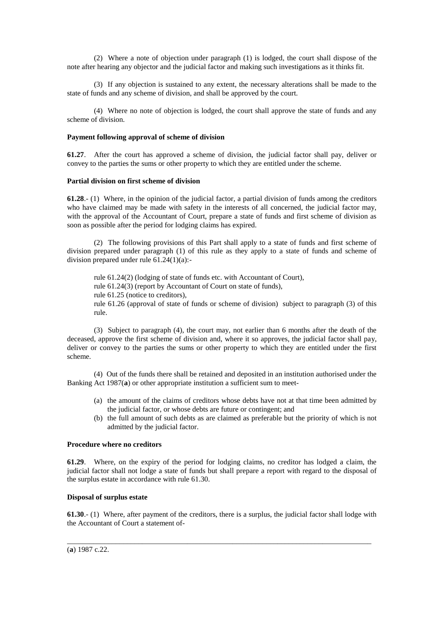(2) Where a note of objection under paragraph (1) is lodged, the court shall dispose of the note after hearing any objector and the judicial factor and making such investigations as it thinks fit.

(3) If any objection is sustained to any extent, the necessary alterations shall be made to the state of funds and any scheme of division, and shall be approved by the court.

(4) Where no note of objection is lodged, the court shall approve the state of funds and any scheme of division.

## **Payment following approval of scheme of division**

**61.27**. After the court has approved a scheme of division, the judicial factor shall pay, deliver or convey to the parties the sums or other property to which they are entitled under the scheme.

## **Partial division on first scheme of division**

**61.28**.- (1) Where, in the opinion of the judicial factor, a partial division of funds among the creditors who have claimed may be made with safety in the interests of all concerned, the judicial factor may, with the approval of the Accountant of Court, prepare a state of funds and first scheme of division as soon as possible after the period for lodging claims has expired.

(2) The following provisions of this Part shall apply to a state of funds and first scheme of division prepared under paragraph (1) of this rule as they apply to a state of funds and scheme of division prepared under rule 61.24(1)(a):-

rule 61.24(2) (lodging of state of funds etc. with Accountant of Court), rule 61.24(3) (report by Accountant of Court on state of funds), rule 61.25 (notice to creditors), rule 61.26 (approval of state of funds or scheme of division) subject to paragraph (3) of this rule.

(3) Subject to paragraph (4), the court may, not earlier than 6 months after the death of the deceased, approve the first scheme of division and, where it so approves, the judicial factor shall pay, deliver or convey to the parties the sums or other property to which they are entitled under the first scheme.

(4) Out of the funds there shall be retained and deposited in an institution authorised under the Banking Act 1987(**a**) or other appropriate institution a sufficient sum to meet-

- (a) the amount of the claims of creditors whose debts have not at that time been admitted by the judicial factor, or whose debts are future or contingent; and
- (b) the full amount of such debts as are claimed as preferable but the priority of which is not admitted by the judicial factor.

## **Procedure where no creditors**

**61.29**. Where, on the expiry of the period for lodging claims, no creditor has lodged a claim, the judicial factor shall not lodge a state of funds but shall prepare a report with regard to the disposal of the surplus estate in accordance with rule 61.30.

# **Disposal of surplus estate**

**61.30**.- (1) Where, after payment of the creditors, there is a surplus, the judicial factor shall lodge with the Accountant of Court a statement of-

\_\_\_\_\_\_\_\_\_\_\_\_\_\_\_\_\_\_\_\_\_\_\_\_\_\_\_\_\_\_\_\_\_\_\_\_\_\_\_\_\_\_\_\_\_\_\_\_\_\_\_\_\_\_\_\_\_\_\_\_\_\_\_\_\_\_\_\_\_\_\_\_\_\_\_\_\_\_\_\_\_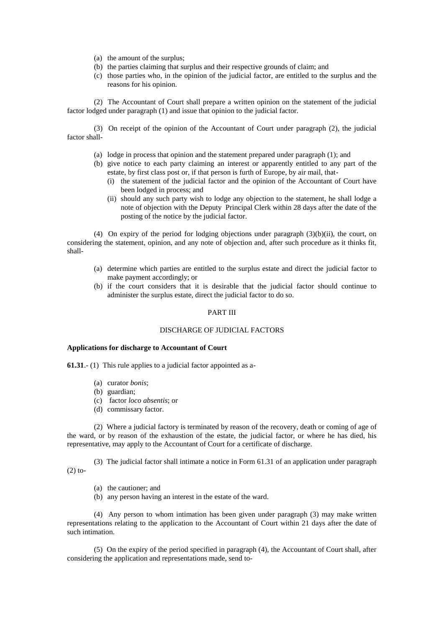- (a) the amount of the surplus;
- (b) the parties claiming that surplus and their respective grounds of claim; and
- (c) those parties who, in the opinion of the judicial factor, are entitled to the surplus and the reasons for his opinion.

(2) The Accountant of Court shall prepare a written opinion on the statement of the judicial factor lodged under paragraph (1) and issue that opinion to the judicial factor.

(3) On receipt of the opinion of the Accountant of Court under paragraph (2), the judicial factor shall-

- (a) lodge in process that opinion and the statement prepared under paragraph (1); and
- (b) give notice to each party claiming an interest or apparently entitled to any part of the estate, by first class post or, if that person is furth of Europe, by air mail, that-
	- (i) the statement of the judicial factor and the opinion of the Accountant of Court have been lodged in process; and
	- (ii) should any such party wish to lodge any objection to the statement, he shall lodge a note of objection with the Deputy Principal Clerk within 28 days after the date of the posting of the notice by the judicial factor.

(4) On expiry of the period for lodging objections under paragraph  $(3)(b)(ii)$ , the court, on considering the statement, opinion, and any note of objection and, after such procedure as it thinks fit, shall-

- (a) determine which parties are entitled to the surplus estate and direct the judicial factor to make payment accordingly; or
- (b) if the court considers that it is desirable that the judicial factor should continue to administer the surplus estate, direct the judicial factor to do so.

#### PART III

# DISCHARGE OF JUDICIAL FACTORS

## **Applications for discharge to Accountant of Court**

**61.31**.- (1) This rule applies to a judicial factor appointed as a-

- (a) curator *bonis*;
- (b) guardian;
- (c) factor *loco absentis*; or
- (d) commissary factor.

(2) Where a judicial factory is terminated by reason of the recovery, death or coming of age of the ward, or by reason of the exhaustion of the estate, the judicial factor, or where he has died, his representative, may apply to the Accountant of Court for a certificate of discharge.

(3) The judicial factor shall intimate a notice in Form 61.31 of an application under paragraph  $(2)$  to-

- (a) the cautioner; and
- (b) any person having an interest in the estate of the ward.

(4) Any person to whom intimation has been given under paragraph (3) may make written representations relating to the application to the Accountant of Court within 21 days after the date of such intimation.

(5) On the expiry of the period specified in paragraph (4), the Accountant of Court shall, after considering the application and representations made, send to-